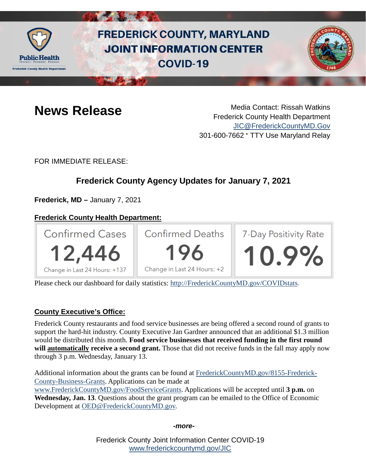

# **FREDERICK COUNTY, MARYLAND JOINT INFORMATION CENTER COVID-19**



**News Release** Media Contact: Rissah Watkins Frederick County Health Department [JIC@FrederickCountyMD.Gov](mailto:JIC@FrederickCountyMD.Gov) 301-600-7662 • TTY Use Maryland Relay

FOR IMMEDIATE RELEASE:

# **Frederick County Agency Updates for January 7, 2021**

**Frederick, MD –** January 7, 2021

# **Frederick County Health Department:**



Please check our dashboard for daily statistics: [http://FrederickCountyMD.gov/COVIDstats.](http://frederickcountymd.gov/COVIDstats)

### **County Executive's Office:**

Frederick County restaurants and food service businesses are being offered a second round of grants to support the hard-hit industry. County Executive Jan Gardner announced that an additional \$1.3 million would be distributed this month. **Food service businesses that received funding in the first round will automatically receive a second grant.** Those that did not receive funds in the fall may apply now through 3 p.m. Wednesday, January 13.

Additional information about the grants can be found at [FrederickCountyMD.gov/8155-Frederick-](https://www.frederickcountymd.gov/8155-Frederick-County-Business-Grants)[County-Business-Grants.](https://www.frederickcountymd.gov/8155-Frederick-County-Business-Grants) Applications can be made at [www.FrederickCountyMD.gov/FoodServiceGrants.](http://www.frederickcountymd.gov/FoodServiceGrants) Applications will be accepted until **3 p.m.** on **Wednesday, Jan. 13**. Questions about the grant program can be emailed to the Office of Economic Development at [OED@FrederickCountyMD.gov.](mailto:OED@FrederickCountyMD.gov)

*-more-*

Frederick County Joint Information Center COVID-19 [www.frederickcountymd.gov/JIC](https://frederickcountymd.gov/JIC)